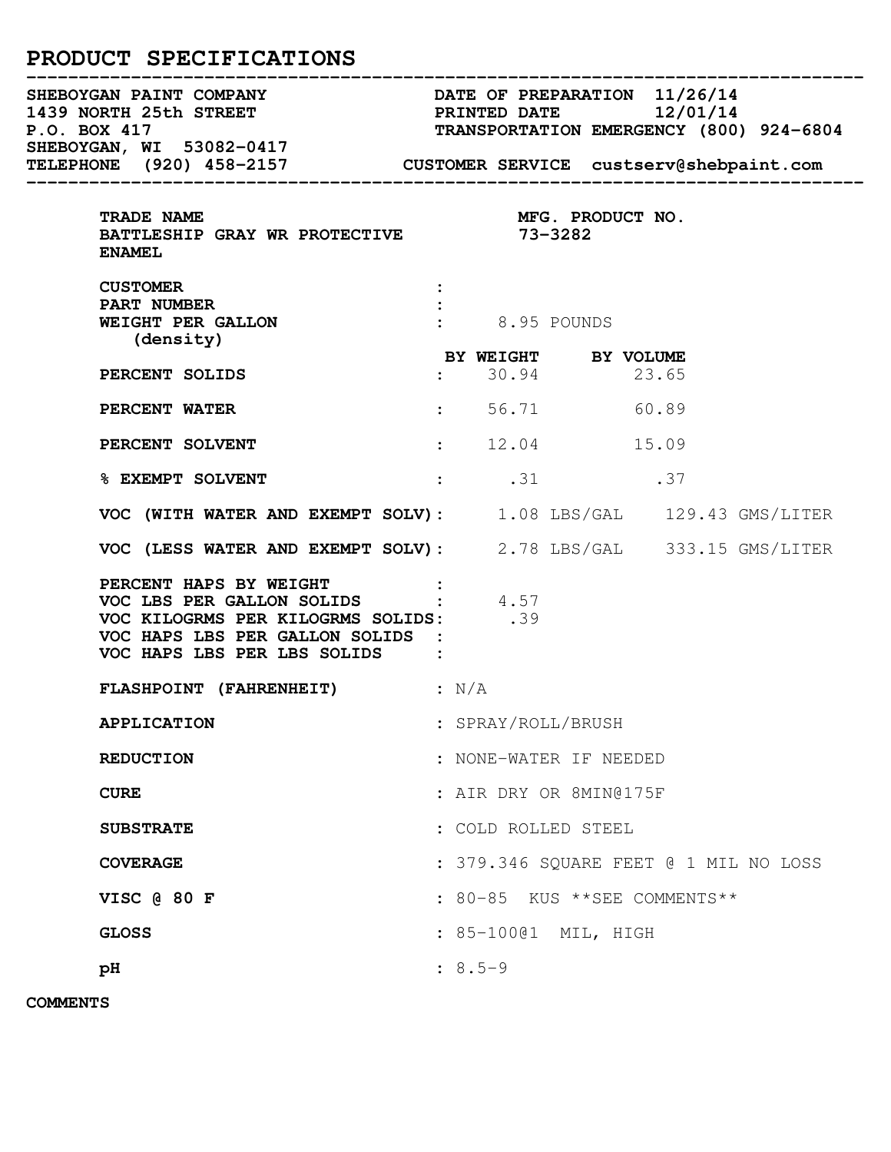# PRODUCT SPECIFICATIONS

| SHEBOYGAN, WI 53082-0417<br>TELEPHONE <sup>1</sup> (920) 458-2157 CUSTOMER SERVICE custserv@shebpaint.com                                                                         |                                             |  |       |  |  |
|-----------------------------------------------------------------------------------------------------------------------------------------------------------------------------------|---------------------------------------------|--|-------|--|--|
| TRADE NAME<br>BATTLESHIP GRAY WR PROTECTIVE 73-3282<br><b>ENAMEL</b>                                                                                                              |                                             |  |       |  |  |
| <b>CUSTOMER</b><br>PART NUMBER<br>WEIGHT PER GALLON<br>(density)                                                                                                                  | $\frac{1}{2}$ 8.95 POUNDS                   |  |       |  |  |
| PERCENT SOLIDS                                                                                                                                                                    | <b>BY WEIGHT BY VOLUME</b><br>: 30.94 23.65 |  |       |  |  |
| <b>PERCENT WATER</b>                                                                                                                                                              | $56.71$ 60.89                               |  |       |  |  |
| PERCENT SOLVENT                                                                                                                                                                   | : 12.04                                     |  | 15.09 |  |  |
| <b>&amp; EXEMPT SOLVENT</b>                                                                                                                                                       | $\cdot$ .31 .37                             |  |       |  |  |
| VOC (WITH WATER AND EXEMPT SOLV): 1.08 LBS/GAL 129.43 GMS/LITER                                                                                                                   |                                             |  |       |  |  |
| VOC (LESS WATER AND EXEMPT SOLV): 2.78 LBS/GAL 333.15 GMS/LITER                                                                                                                   |                                             |  |       |  |  |
| <b>PERCENT HAPS BY WEIGHT :<br/>VOC LBS PER GALLON SOLIDS : 4.57</b><br>VOC KILOGRMS PER KILOGRMS SOLIDS: 39<br>VOC HAPS LBS PER GALLON SOLIDS :<br>VOC HAPS LBS PER LBS SOLIDS : |                                             |  |       |  |  |
| FLASHPOINT (FAHRENHEIT) : N/A                                                                                                                                                     |                                             |  |       |  |  |
| <b>APPLICATION</b>                                                                                                                                                                | : SPRAY/ROLL/BRUSH                          |  |       |  |  |
| <b>REDUCTION</b>                                                                                                                                                                  | : NONE-WATER IF NEEDED                      |  |       |  |  |
| <b>CURE</b>                                                                                                                                                                       | : AIR DRY OR 8MIN@175F                      |  |       |  |  |
| <b>SUBSTRATE</b>                                                                                                                                                                  | : COLD ROLLED STEEL                         |  |       |  |  |
| <b>COVERAGE</b>                                                                                                                                                                   | : 379.346 SQUARE FEET @ 1 MIL NO LOSS       |  |       |  |  |
| VISC @ 80 F                                                                                                                                                                       | : 80-85 KUS ** SEE COMMENTS**               |  |       |  |  |
| <b>GLOSS</b>                                                                                                                                                                      | : 85-10001 MIL, HIGH                        |  |       |  |  |
| pH                                                                                                                                                                                | $: 8.5 - 9$                                 |  |       |  |  |

COMMENTS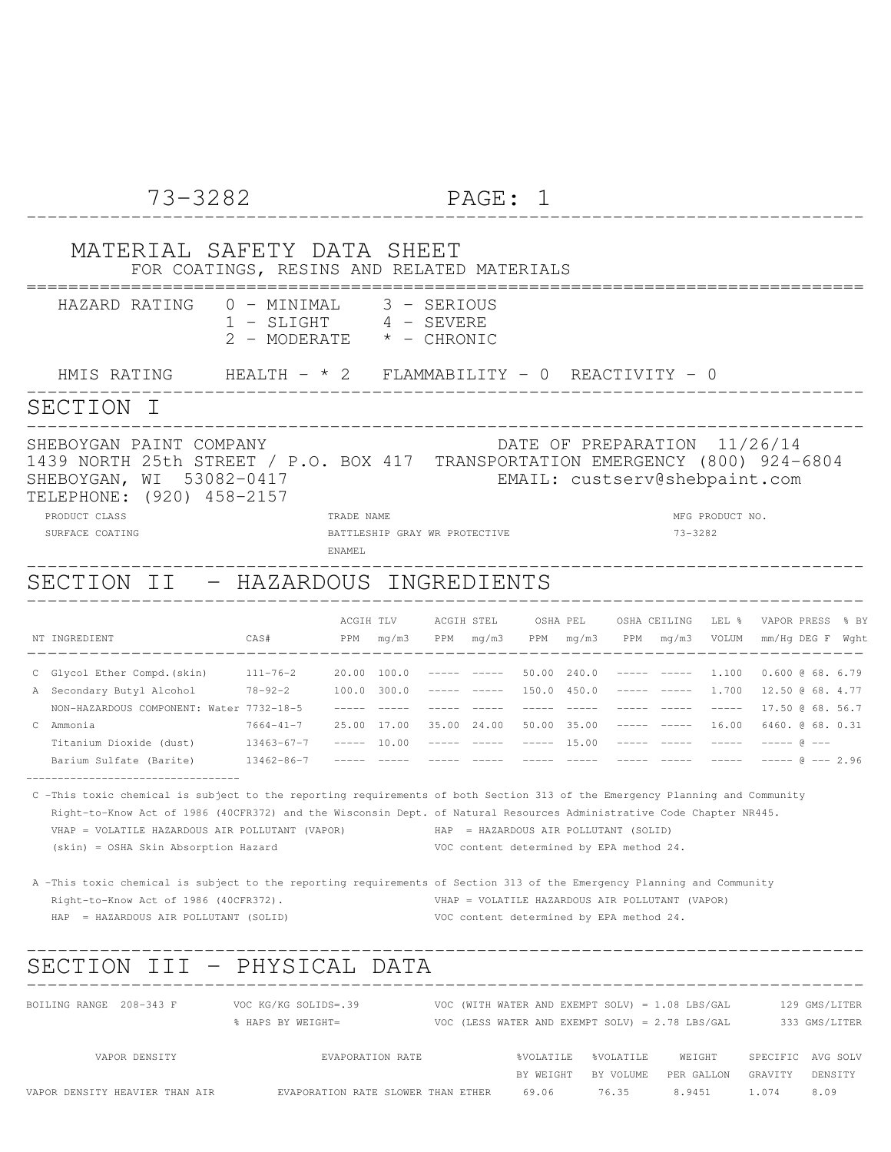### 73-3282 PAGE: 1 -------------------------------------------------------------------------------- MATERIAL SAFETY DATA SHEET FOR COATINGS, RESINS AND RELATED MATERIALS ================================================================================ HAZARD RATING 0 - MINIMAL 3 - SERIOUS 1 - SLIGHT 4 - SEVERE 2 - MODERATE \* - CHRONIC HMIS RATING HEALTH - \* 2 FLAMMABILITY - 0 REACTIVITY - 0 -------------------------------------------------------------------------------- SECTION I -------------------------------------------------------------------------------- SHEBOYGAN PAINT COMPANY **External SHEBOYGAN PAINT COMPANY DATE OF PREPARATION** 11/26/14 1439 NORTH 25th STREET / P.O. BOX 417 TRANSPORTATION EMERGENCY (800) 924-6804 SHEBOYGAN, WI 53082-0417 EMAIL: custserv@shebpaint.com TELEPHONE: (920) 458-2157 PRODUCT CLASS STATES TRADE NAME TRADE NAME TRADE OF THE SERVICE OF THE MEG PRODUCT NO. SURFACE COATING BATTLESHIP GRAY WR PROTECTIVE 73-3282 ENAMEL -------------------------------------------------------------------------------- SECTION II - HAZARDOUS INGREDIENTS -------------------------------------------------------------------------------- ACGIH TLV ACGIH STEL OSHA PEL OSHA CEILING LEL % VAPOR PRESS % BY NT INGREDIENT CAS# PPM mg/m3 PPM mg/m3 PPM mg/m3 PPM mg/m3 VOLUM mm/Hg DEG F Wght -------------------------------------------------------------------------------- C Glycol Ether Compd.(skin) 111-76-2 20.00 100.0 ----- ----- 50.00 240.0 ----- ----- 1.100 0.600 @ 68. 6.79 A Secondary Butyl Alcohol 78-92-2 100.0 300.0 ----- ----- 150.0 450.0 ----- ----- 1.700 12.50 @ 68. 4.77 NON-HAZARDOUS COMPONENT: Water 7732-18-5 ----- ----- ----- ----- ----- ----- ----- ----- ----- 17.50 @ 68. 56.7 C Ammonia 7664-41-7 25.00 17.00 35.00 24.00 50.00 35.00 ----- ----- 16.00 6460. @ 68. 0.31 Titanium Dioxide (dust) 13463-67-7 ----- 10.00 ----- ----- ----- 15.00 ----- ----- ----- ----- @ --- Barium Sulfate (Barite) 13462-86-7 ----- ----- ----- ----- ----- ----- ----- ----- ----- ----- @ --- 2.96 ---------------------------------- C -This toxic chemical is subject to the reporting requirements of both Section 313 of the Emergency Planning and Community Right-to-Know Act of 1986 (40CFR372) and the Wisconsin Dept. of Natural Resources Administrative Code Chapter NR445. VHAP = VOLATILE HAZARDOUS AIR POLLUTANT (VAPOR) HAP = HAZARDOUS AIR POLLUTANT (SOLID) (skin) = OSHA Skin Absorption Hazard VOC content determined by EPA method 24. A -This toxic chemical is subject to the reporting requirements of Section 313 of the Emergency Planning and Community Right-to-Know Act of 1986 (40CFR372). VHAP = VOLATILE HAZARDOUS AIR POLLUTANT (VAPOR) HAP = HAZARDOUS AIR POLLUTANT (SOLID) VOC content determined by EPA method 24. -------------------------------------------------------------------------------- SECTION III - PHYSICAL DATA -------------------------------------------------------------------------------- BOILING RANGE 208-343 F VOC KG/KG SOLIDS=.39 VOC (WITH WATER AND EXEMPT SOLV) = 1.08 LBS/GAL 129 GMS/LITER % HAPS BY WEIGHT= VOC (LESS WATER AND EXEMPT SOLV) = 2.78 LBS/GAL 333 GMS/LITER VAPOR DENSITY EVAPORATION RATE %VOLATILE %VOLATILE WEIGHT SPECIFIC AVG SOLV

BY WEIGHT BY VOLUME PER GALLON GRAVITY DENSITY

VAPOR DENSITY HEAVIER THAN AIR EVAPORATION RATE SLOWER THAN ETHER 69.06 76.35 8.9451 1.074 8.09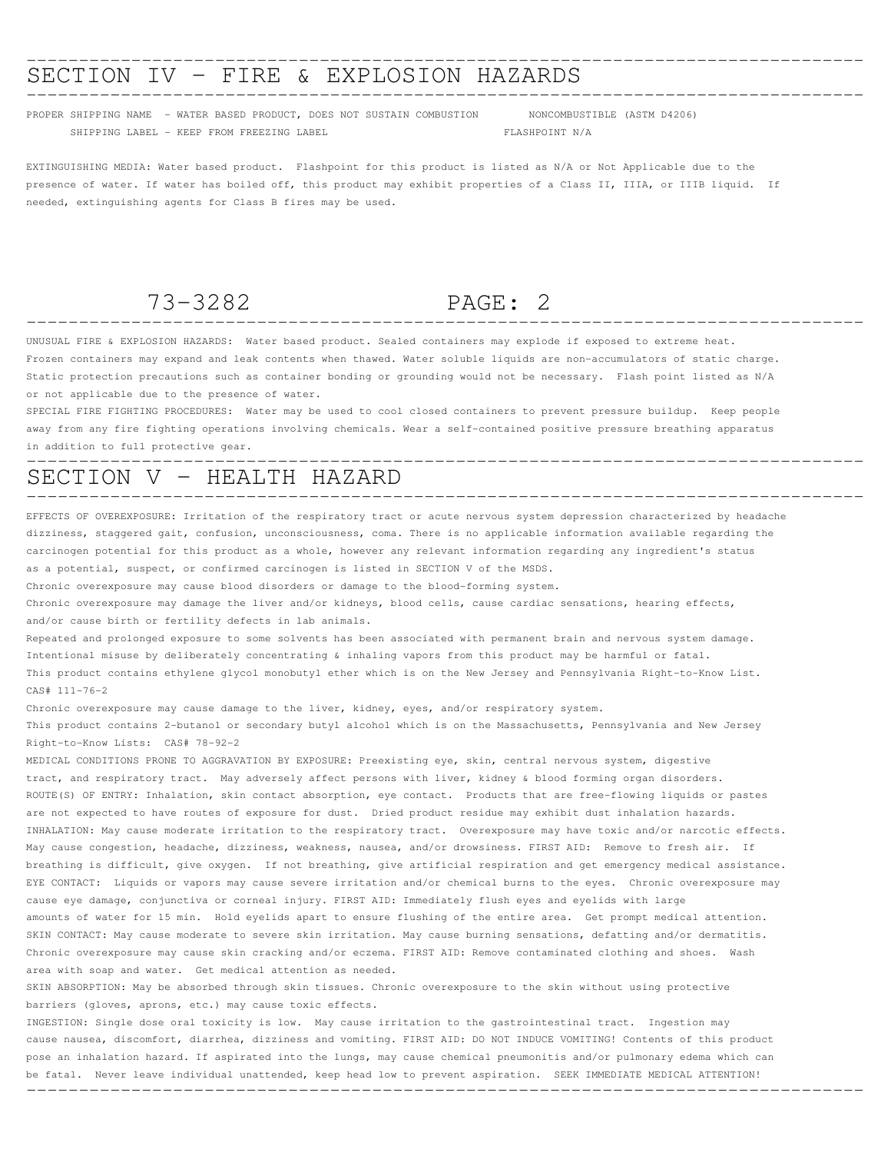# -------------------------------------------------------------------------------- SECTION IV - FIRE & EXPLOSION HAZARDS --------------------------------------------------------------------------------

PROPER SHIPPING NAME - WATER BASED PRODUCT, DOES NOT SUSTAIN COMBUSTION NONCOMBUSTIBLE (ASTM D4206) SHIPPING LABEL - KEEP FROM FREEZING LABEL FLASHPOINT N/A

EXTINGUISHING MEDIA: Water based product. Flashpoint for this product is listed as N/A or Not Applicable due to the presence of water. If water has boiled off, this product may exhibit properties of a Class II, IIIA, or IIIB liquid. If needed, extinguishing agents for Class B fires may be used.

# 73-3282 PAGE: 2

--------------------------------------------------------------------------------

UNUSUAL FIRE & EXPLOSION HAZARDS: Water based product. Sealed containers may explode if exposed to extreme heat. Frozen containers may expand and leak contents when thawed. Water soluble liquids are non-accumulators of static charge. Static protection precautions such as container bonding or grounding would not be necessary. Flash point listed as N/A or not applicable due to the presence of water.

SPECIAL FIRE FIGHTING PROCEDURES: Water may be used to cool closed containers to prevent pressure buildup. Keep people away from any fire fighting operations involving chemicals. Wear a self-contained positive pressure breathing apparatus in addition to full protective gear.

### -------------------------------------------------------------------------------- SECTION V - HEALTH HAZARD --------------------------------------------------------------------------------

EFFECTS OF OVEREXPOSURE: Irritation of the respiratory tract or acute nervous system depression characterized by headache dizziness, staggered gait, confusion, unconsciousness, coma. There is no applicable information available regarding the carcinogen potential for this product as a whole, however any relevant information regarding any ingredient's status as a potential, suspect, or confirmed carcinogen is listed in SECTION V of the MSDS.

Chronic overexposure may cause blood disorders or damage to the blood-forming system.

Chronic overexposure may damage the liver and/or kidneys, blood cells, cause cardiac sensations, hearing effects, and/or cause birth or fertility defects in lab animals.

Repeated and prolonged exposure to some solvents has been associated with permanent brain and nervous system damage. Intentional misuse by deliberately concentrating & inhaling vapors from this product may be harmful or fatal. This product contains ethylene glycol monobutyl ether which is on the New Jersey and Pennsylvania Right-to-Know List. CAS# 111-76-2

Chronic overexposure may cause damage to the liver, kidney, eyes, and/or respiratory system. This product contains 2-butanol or secondary butyl alcohol which is on the Massachusetts, Pennsylvania and New Jersey

Right-to-Know Lists: CAS# 78-92-2

MEDICAL CONDITIONS PRONE TO AGGRAVATION BY EXPOSURE: Preexisting eye, skin, central nervous system, digestive tract, and respiratory tract. May adversely affect persons with liver, kidney & blood forming organ disorders. ROUTE(S) OF ENTRY: Inhalation, skin contact absorption, eye contact. Products that are free-flowing liquids or pastes are not expected to have routes of exposure for dust. Dried product residue may exhibit dust inhalation hazards. INHALATION: May cause moderate irritation to the respiratory tract. Overexposure may have toxic and/or narcotic effects. May cause congestion, headache, dizziness, weakness, nausea, and/or drowsiness. FIRST AID: Remove to fresh air. If breathing is difficult, give oxygen. If not breathing, give artificial respiration and get emergency medical assistance. EYE CONTACT: Liquids or vapors may cause severe irritation and/or chemical burns to the eyes. Chronic overexposure may cause eye damage, conjunctiva or corneal injury. FIRST AID: Immediately flush eyes and eyelids with large amounts of water for 15 min. Hold eyelids apart to ensure flushing of the entire area. Get prompt medical attention. SKIN CONTACT: May cause moderate to severe skin irritation. May cause burning sensations, defatting and/or dermatitis. Chronic overexposure may cause skin cracking and/or eczema. FIRST AID: Remove contaminated clothing and shoes. Wash area with soap and water. Get medical attention as needed.

SKIN ABSORPTION: May be absorbed through skin tissues. Chronic overexposure to the skin without using protective barriers (gloves, aprons, etc.) may cause toxic effects.

INGESTION: Single dose oral toxicity is low. May cause irritation to the gastrointestinal tract. Ingestion may cause nausea, discomfort, diarrhea, dizziness and vomiting. FIRST AID: DO NOT INDUCE VOMITING! Contents of this product pose an inhalation hazard. If aspirated into the lungs, may cause chemical pneumonitis and/or pulmonary edema which can be fatal. Never leave individual unattended, keep head low to prevent aspiration. SEEK IMMEDIATE MEDICAL ATTENTION! --------------------------------------------------------------------------------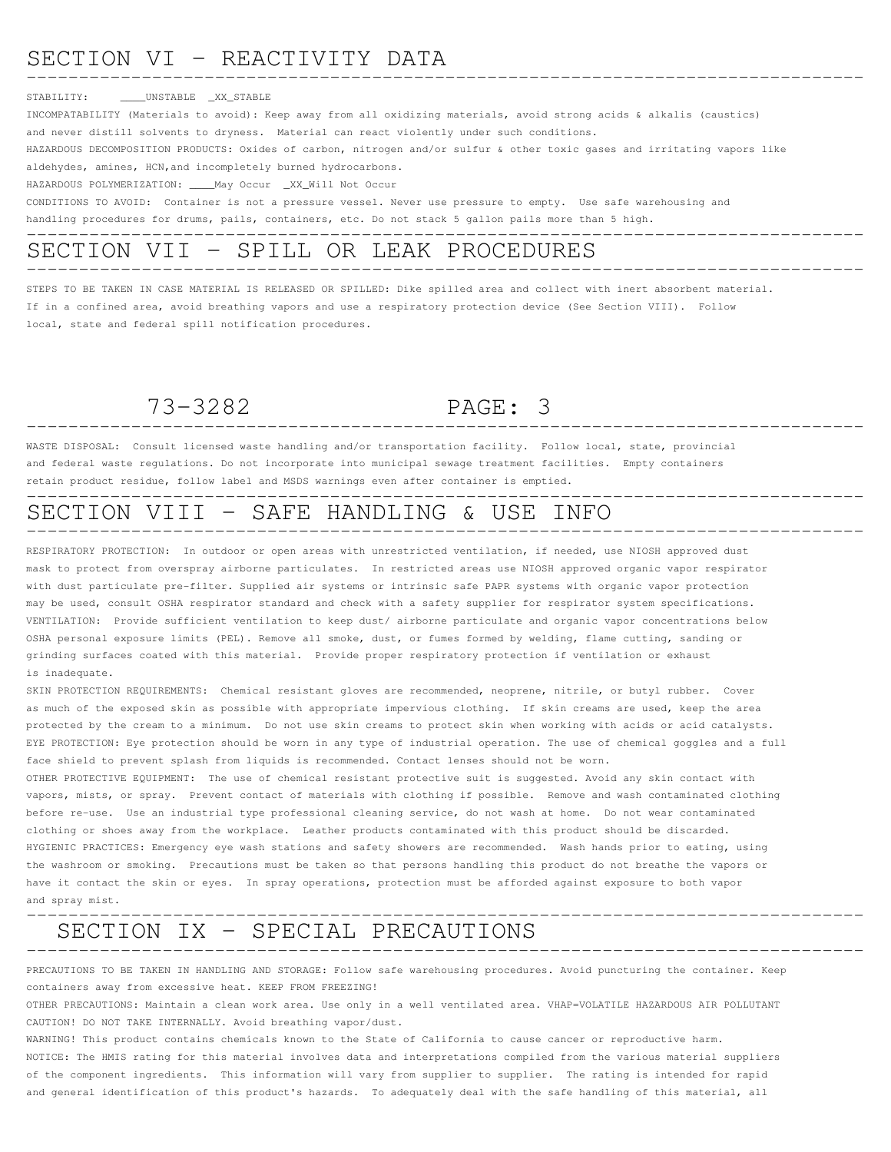### SECTION VI - REACTIVITY DATA --------------------------------------------------------------------------------

### STABILITY: \_\_\_\_UNSTABLE \_XX\_STABLE

INCOMPATABILITY (Materials to avoid): Keep away from all oxidizing materials, avoid strong acids & alkalis (caustics) and never distill solvents to dryness. Material can react violently under such conditions. HAZARDOUS DECOMPOSITION PRODUCTS: Oxides of carbon, nitrogen and/or sulfur & other toxic gases and irritating vapors like aldehydes, amines, HCN,and incompletely burned hydrocarbons. HAZARDOUS POLYMERIZATION: \_\_\_\_May Occur \_XX\_Will Not Occur

CONDITIONS TO AVOID: Container is not a pressure vessel. Never use pressure to empty. Use safe warehousing and handling procedures for drums, pails, containers, etc. Do not stack 5 gallon pails more than 5 high.

### -------------------------------------------------------------------------------- SECTION VII - SPILL OR LEAK PROCEDURES --------------------------------------------------------------------------------

STEPS TO BE TAKEN IN CASE MATERIAL IS RELEASED OR SPILLED: Dike spilled area and collect with inert absorbent material. If in a confined area, avoid breathing vapors and use a respiratory protection device (See Section VIII). Follow local, state and federal spill notification procedures.

## 73-3282 PAGE: 3 --------------------------------------------------------------------------------

WASTE DISPOSAL: Consult licensed waste handling and/or transportation facility. Follow local, state, provincial and federal waste regulations. Do not incorporate into municipal sewage treatment facilities. Empty containers retain product residue, follow label and MSDS warnings even after container is emptied.

### -------------------------------------------------------------------------------- SECTION VIII - SAFE HANDLING & USE INFO --------------------------------------------------------------------------------

RESPIRATORY PROTECTION: In outdoor or open areas with unrestricted ventilation, if needed, use NIOSH approved dust mask to protect from overspray airborne particulates. In restricted areas use NIOSH approved organic vapor respirator with dust particulate pre-filter. Supplied air systems or intrinsic safe PAPR systems with organic vapor protection may be used, consult OSHA respirator standard and check with a safety supplier for respirator system specifications. VENTILATION: Provide sufficient ventilation to keep dust/ airborne particulate and organic vapor concentrations below OSHA personal exposure limits (PEL). Remove all smoke, dust, or fumes formed by welding, flame cutting, sanding or grinding surfaces coated with this material. Provide proper respiratory protection if ventilation or exhaust is inadequate.

SKIN PROTECTION REQUIREMENTS: Chemical resistant gloves are recommended, neoprene, nitrile, or butyl rubber. Cover as much of the exposed skin as possible with appropriate impervious clothing. If skin creams are used, keep the area protected by the cream to a minimum. Do not use skin creams to protect skin when working with acids or acid catalysts. EYE PROTECTION: Eye protection should be worn in any type of industrial operation. The use of chemical goggles and a full face shield to prevent splash from liquids is recommended. Contact lenses should not be worn.

OTHER PROTECTIVE EQUIPMENT: The use of chemical resistant protective suit is suggested. Avoid any skin contact with vapors, mists, or spray. Prevent contact of materials with clothing if possible. Remove and wash contaminated clothing before re-use. Use an industrial type professional cleaning service, do not wash at home. Do not wear contaminated clothing or shoes away from the workplace. Leather products contaminated with this product should be discarded. HYGIENIC PRACTICES: Emergency eye wash stations and safety showers are recommended. Wash hands prior to eating, using the washroom or smoking. Precautions must be taken so that persons handling this product do not breathe the vapors or have it contact the skin or eyes. In spray operations, protection must be afforded against exposure to both vapor and spray mist.

### -------------------------------------------------------------------------------- SECTION IX - SPECIAL PRECAUTIONS --------------------------------------------------------------------------------

PRECAUTIONS TO BE TAKEN IN HANDLING AND STORAGE: Follow safe warehousing procedures. Avoid puncturing the container. Keep containers away from excessive heat. KEEP FROM FREEZING!

OTHER PRECAUTIONS: Maintain a clean work area. Use only in a well ventilated area. VHAP=VOLATILE HAZARDOUS AIR POLLUTANT CAUTION! DO NOT TAKE INTERNALLY. Avoid breathing vapor/dust.

WARNING! This product contains chemicals known to the State of California to cause cancer or reproductive harm. NOTICE: The HMIS rating for this material involves data and interpretations compiled from the various material suppliers of the component ingredients. This information will vary from supplier to supplier. The rating is intended for rapid and general identification of this product's hazards. To adequately deal with the safe handling of this material, all